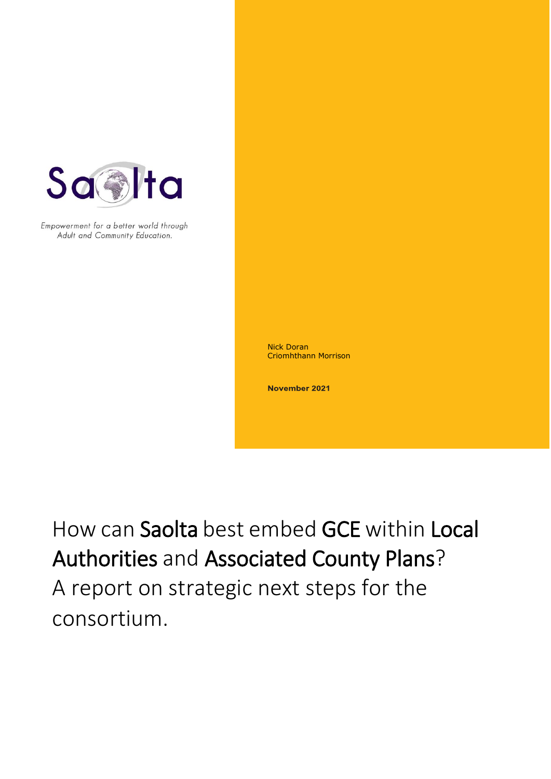

Empowerment for a better world through Adult and Community Education.

> Nick Doran Criomhthann Morrison

November 2021

How can Saolta best embed GCE within Local Authorities and Associated County Plans?

How can Saolta best embed GCE within Local Authorities and Associated County Plans? A report on strategic next steps for the consortium.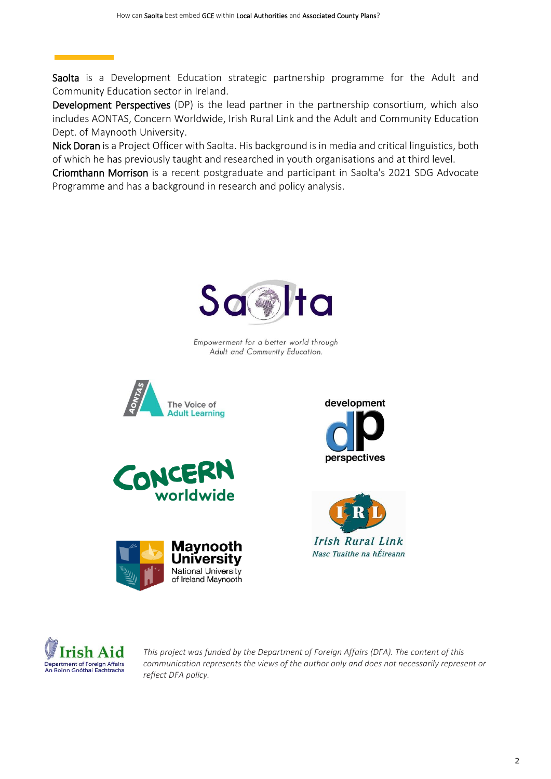Saolta is a Development Education strategic partnership programme for the Adult and Community Education sector in Ireland.

Development Perspectives (DP) is the lead partner in the partnership consortium, which also includes [AONTAS,](https://www.aontas.com/) [Concern Worldwide,](https://www.concern.net/) [Irish Rural Link](https://www.irishrurallink.ie/) and the [Adult and Community Education](https://www.maynoothuniversity.ie/adult-and-community-education)  [Dept. of Maynooth University.](https://www.maynoothuniversity.ie/adult-and-community-education)

Nick Doran is a Project Officer with Saolta. His background is in media and critical linguistics, both of which he has previously taught and researched in youth organisations and at third level.

Criomthann Morrison is a recent postgraduate and participant in Saolta's 2021 SDG Advocate Programme and has a background in research and policy analysis.



Empowerment for a better world through Adult and Community Education.













*This project was funded by the Department of Foreign Affairs (DFA). The content of this communication represents the views of the author only and does not necessarily represent or reflect DFA policy.*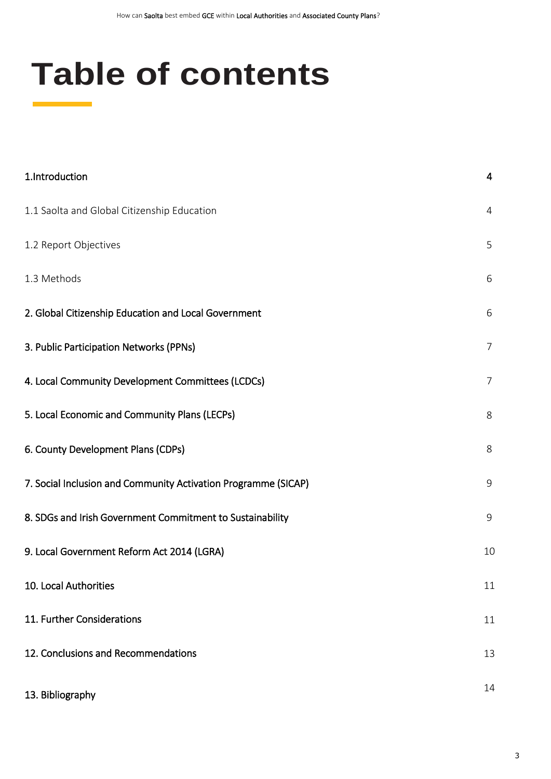# **Table of contents**

| 1.Introduction                                                 | 4              |
|----------------------------------------------------------------|----------------|
| 1.1 Saolta and Global Citizenship Education                    | 4              |
| 1.2 Report Objectives                                          | 5              |
| 1.3 Methods                                                    | 6              |
| 2. Global Citizenship Education and Local Government           | 6              |
| 3. Public Participation Networks (PPNs)                        | $\overline{7}$ |
| 4. Local Community Development Committees (LCDCs)              | $\overline{7}$ |
| 5. Local Economic and Community Plans (LECPs)                  | 8              |
| 6. County Development Plans (CDPs)                             | 8              |
| 7. Social Inclusion and Community Activation Programme (SICAP) | 9              |
| 8. SDGs and Irish Government Commitment to Sustainability      | 9              |
| 9. Local Government Reform Act 2014 (LGRA)                     |                |
| 10. Local Authorities                                          | 11             |
| 11. Further Considerations                                     | 11             |
| 12. Conclusions and Recommendations                            | 13             |
| 13. Bibliography                                               | 14             |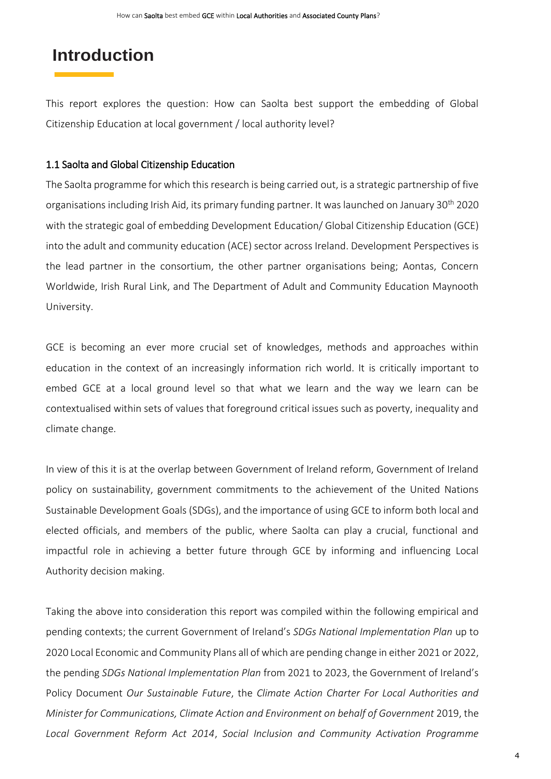## **Introduction**

This report explores the question: How can Saolta best support the embedding of Global Citizenship Education at local government / local authority level?

#### 1.1 Saolta and Global Citizenship Education

The Saolta programme for which this research is being carried out, is a strategic partnership of five organisations including Irish Aid, its primary funding partner. It was launched on January 30th 2020 with the strategic goal of embedding Development Education/ Global Citizenship Education (GCE) into the adult and community education (ACE) sector across Ireland. Development Perspectives is the lead partner in the consortium, the other partner organisations being; Aontas, Concern Worldwide, Irish Rural Link, and The Department of Adult and Community Education Maynooth University.

GCE is becoming an ever more crucial set of knowledges, methods and approaches within education in the context of an increasingly information rich world. It is critically important to embed GCE at a local ground level so that what we learn and the way we learn can be contextualised within sets of values that foreground critical issues such as poverty, inequality and climate change.

In view of this it is at the overlap between Government of Ireland reform, Government of Ireland policy on sustainability, government commitments to the achievement of the United Nations Sustainable Development Goals (SDGs), and the importance of using GCE to inform both local and elected officials, and members of the public, where Saolta can play a crucial, functional and impactful role in achieving a better future through GCE by informing and influencing Local Authority decision making.

Taking the above into consideration this report was compiled within the following empirical and pending contexts; the current Government of Ireland's *SDGs National Implementation Plan* up to 2020 Local Economic and Community Plans all of which are pending change in either 2021 or 2022, the pending *SDGs National Implementation Plan* from 2021 to 2023, the Government of Ireland's Policy Document *Our Sustainable Future*, the *Climate Action Charter For Local Authorities and Minister for Communications, Climate Action and Environment on behalf of Government* 2019, the *Local Government Reform Act 2014*, *Social Inclusion and Community Activation Programme*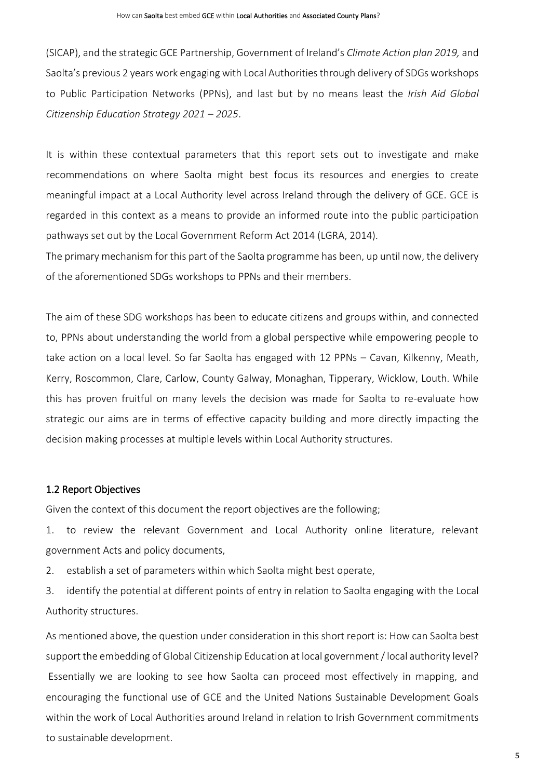(SICAP), and the strategic GCE Partnership, Government of Ireland's *Climate Action plan 2019,* and Saolta's previous 2 years work engaging with Local Authorities through delivery of SDGs workshops to Public Participation Networks (PPNs), and last but by no means least the *Irish Aid Global Citizenship Education Strategy 2021 – 2025*.

It is within these contextual parameters that this report sets out to investigate and make recommendations on where Saolta might best focus its resources and energies to create meaningful impact at a Local Authority level across Ireland through the delivery of GCE. GCE is regarded in this context as a means to provide an informed route into the public participation pathways set out by the Local Government Reform Act 2014 (LGRA, 2014).

The primary mechanism for this part of the Saolta programme has been, up until now, the delivery of the aforementioned SDGs workshops to PPNs and their members.

The aim of these SDG workshops has been to educate citizens and groups within, and connected to, PPNs about understanding the world from a global perspective while empowering people to take action on a local level. So far Saolta has engaged with 12 PPNs – Cavan, Kilkenny, Meath, Kerry, Roscommon, Clare, Carlow, County Galway, Monaghan, Tipperary, Wicklow, Louth. While this has proven fruitful on many levels the decision was made for Saolta to re-evaluate how strategic our aims are in terms of effective capacity building and more directly impacting the decision making processes at multiple levels within Local Authority structures.

#### 1.2 Report Objectives

Given the context of this document the report objectives are the following;

1. to review the relevant Government and Local Authority online literature, relevant government Acts and policy documents,

2. establish a set of parameters within which Saolta might best operate,

3. identify the potential at different points of entry in relation to Saolta engaging with the Local Authority structures.

As mentioned above, the question under consideration in this short report is: How can Saolta best support the embedding of Global Citizenship Education at local government / local authority level? Essentially we are looking to see how Saolta can proceed most effectively in mapping, and encouraging the functional use of GCE and the United Nations Sustainable Development Goals within the work of Local Authorities around Ireland in relation to Irish Government commitments to sustainable development.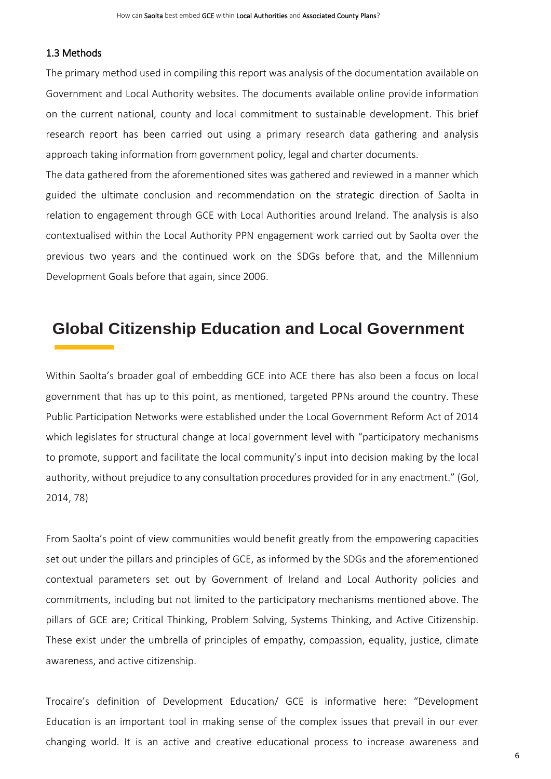#### 1.3 Methods

The primary method used in compiling this report was analysis of the documentation available on Government and Local Authority websites. The documents available online provide information on the current national, county and local commitment to sustainable development. This brief research report has been carried out using a primary research data gathering and analysis approach taking information from government policy, legal and charter documents.

The data gathered from the aforementioned sites was gathered and reviewed in a manner which guided the ultimate conclusion and recommendation on the strategic direction of Saolta in relation to engagement through GCE with Local Authorities around Ireland. The analysis is also contextualised within the Local Authority PPN engagement work carried out by Saolta over the previous two years and the continued work on the SDGs before that, and the Millennium Development Goals before that again, since 2006.

## **Global Citizenship Education and Local Government**

Within Saolta's broader goal of embedding GCE into ACE there has also been a focus on local government that has up to this point, as mentioned, targeted PPNs around the country. These Public Participation Networks were established under the Local Government Reform Act of 2014 which legislates for structural change at local government level with "participatory mechanisms to promote, support and facilitate the local community's input into decision making by the local authority, without prejudice to any consultation procedures provided for in any enactment." (GoI, 2014, 78)

From Saolta's point of view communities would benefit greatly from the empowering capacities set out under the pillars and principles of GCE, as informed by the SDGs and the aforementioned contextual parameters set out by Government of Ireland and Local Authority policies and commitments, including but not limited to the participatory mechanisms mentioned above. The pillars of GCE are; Critical Thinking, Problem Solving, Systems Thinking, and Active Citizenship. These exist under the umbrella of principles of empathy, compassion, equality, justice, climate awareness, and active citizenship.

Trocaire's definition of Development Education/ GCE is informative here: "Development Education is an important tool in making sense of the complex issues that prevail in our ever changing world. It is an active and creative educational process to increase awareness and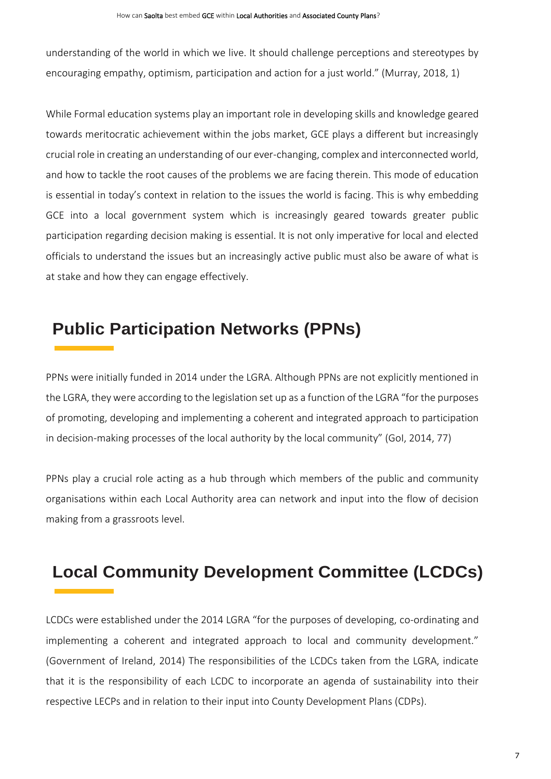understanding of the world in which we live. It should challenge perceptions and stereotypes by encouraging empathy, optimism, participation and action for a just world." (Murray, 2018, 1)

While Formal education systems play an important role in developing skills and knowledge geared towards meritocratic achievement within the jobs market, GCE plays a different but increasingly crucial role in creating an understanding of our ever-changing, complex and interconnected world, and how to tackle the root causes of the problems we are facing therein. This mode of education is essential in today's context in relation to the issues the world is facing. This is why embedding GCE into a local government system which is increasingly geared towards greater public participation regarding decision making is essential. It is not only imperative for local and elected officials to understand the issues but an increasingly active public must also be aware of what is at stake and how they can engage effectively.

## **Public Participation Networks (PPNs)**

PPNs were initially funded in 2014 under the LGRA. Although PPNs are not explicitly mentioned in the LGRA, they were according to the legislation set up as a function of the LGRA "for the purposes of promoting, developing and implementing a coherent and integrated approach to participation in decision-making processes of the local authority by the local community" (GoI, 2014, 77)

PPNs play a crucial role acting as a hub through which members of the public and community organisations within each Local Authority area can network and input into the flow of decision making from a grassroots level.

# **Local Community Development Committee (LCDCs)**

LCDCs were established under the 2014 LGRA "for the purposes of developing, co-ordinating and implementing a coherent and integrated approach to local and community development." (Government of Ireland, 2014) The responsibilities of the LCDCs taken from the LGRA, indicate that it is the responsibility of each LCDC to incorporate an agenda of sustainability into their respective LECPs and in relation to their input into County Development Plans (CDPs).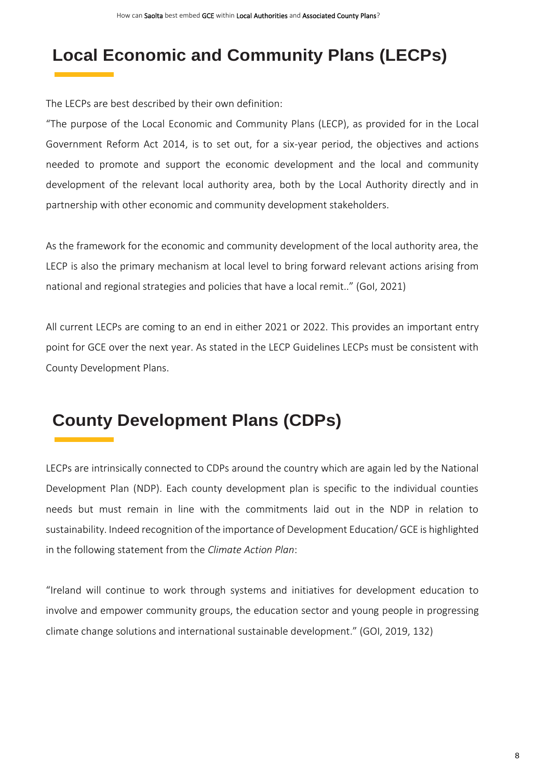# **Local Economic and Community Plans (LECPs)**

The LECPs are best described by their own definition:

"The purpose of the Local Economic and Community Plans (LECP), as provided for in the Local Government Reform Act 2014, is to set out, for a six-year period, the objectives and actions needed to promote and support the economic development and the local and community development of the relevant local authority area, both by the Local Authority directly and in partnership with other economic and community development stakeholders.

As the framework for the economic and community development of the local authority area, the LECP is also the primary mechanism at local level to bring forward relevant actions arising from national and regional strategies and policies that have a local remit.." (GoI, 2021)

All current LECPs are coming to an end in either 2021 or 2022. This provides an important entry point for GCE over the next year. As stated in the LECP Guidelines LECPs must be consistent with County Development Plans.

# **County Development Plans (CDPs)**

LECPs are intrinsically connected to CDPs around the country which are again led by the National Development Plan (NDP). Each county development plan is specific to the individual counties needs but must remain in line with the commitments laid out in the NDP in relation to sustainability. Indeed recognition of the importance of Development Education/ GCE is highlighted in the following statement from the *Climate Action Plan*:

"Ireland will continue to work through systems and initiatives for development education to involve and empower community groups, the education sector and young people in progressing climate change solutions and international sustainable development." (GOI, 2019, 132)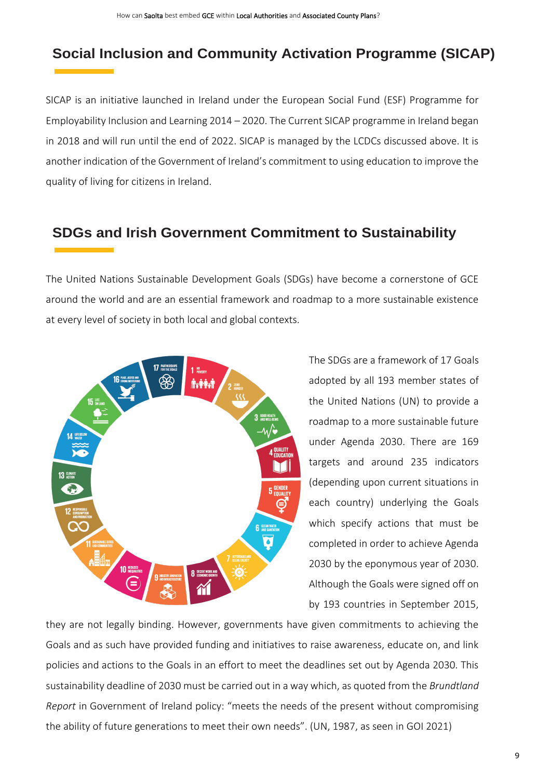## **Social Inclusion and Community Activation Programme (SICAP)**

SICAP is an initiative launched in Ireland under the European Social Fund (ESF) Programme for Employability Inclusion and Learning 2014 – 2020. The Current SICAP programme in Ireland began in 2018 and will run until the end of 2022. SICAP is managed by the LCDCs discussed above. It is another indication of the Government of Ireland's commitment to using education to improve the quality of living for citizens in Ireland.

## **SDGs and Irish Government Commitment to Sustainability**

The United Nations Sustainable Development Goals (SDGs) have become a cornerstone of GCE around the world and are an essential framework and roadmap to a more sustainable existence at every level of society in both local and global contexts.



The SDGs are a framework of 17 Goals adopted by all 193 member states of the United Nations (UN) to provide a roadmap to a more sustainable future under Agenda 2030. There are 169 targets and around 235 indicators (depending upon current situations in each country) underlying the Goals which specify actions that must be completed in order to achieve Agenda 2030 by the eponymous year of 2030. Although the Goals were signed off on by 193 countries in September 2015,

they are not legally binding. However, governments have given commitments to achieving the Goals and as such have provided funding and initiatives to raise awareness, educate on, and link policies and actions to the Goals in an effort to meet the deadlines set out by Agenda 2030. This sustainability deadline of 2030 must be carried out in a way which, as quoted from the *Brundtland Report* in Government of Ireland policy: "meets the needs of the present without compromising the ability of future generations to meet their own needs". (UN, 1987, as seen in GOI 2021)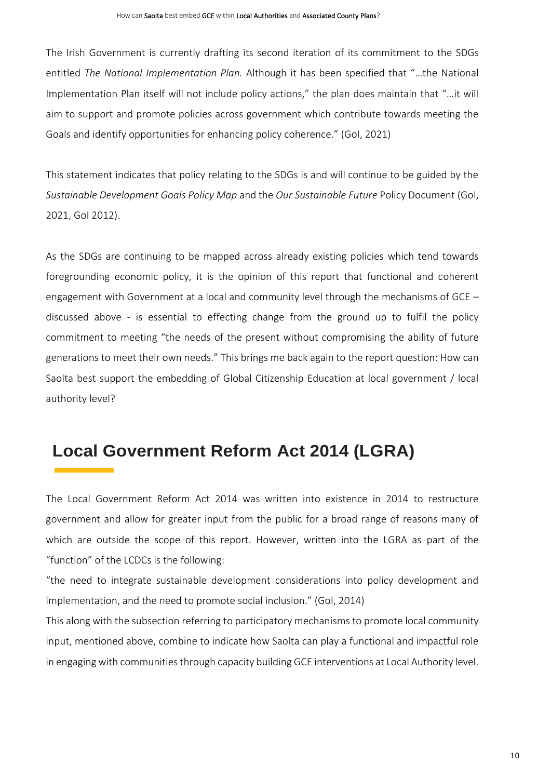The Irish Government is currently drafting its second iteration of its commitment to the SDGs entitled *The National Implementation Plan.* Although it has been specified that "…the National Implementation Plan itself will not include policy actions," the plan does maintain that "…it will aim to support and promote policies across government which contribute towards meeting the Goals and identify opportunities for enhancing policy coherence." (GoI, 2021)

This statement indicates that policy relating to the SDGs is and will continue to be guided by the *Sustainable Development Goals Policy Map* and the *Our Sustainable Future* Policy Document (GoI, 2021, GoI 2012).

As the SDGs are continuing to be mapped across already existing policies which tend towards foregrounding economic policy, it is the opinion of this report that functional and coherent engagement with Government at a local and community level through the mechanisms of GCE – discussed above - is essential to effecting change from the ground up to fulfil the policy commitment to meeting "the needs of the present without compromising the ability of future generations to meet their own needs." This brings me back again to the report question: How can Saolta best support the embedding of Global Citizenship Education at local government / local authority level?

# **Local Government Reform Act 2014 (LGRA)**

The Local Government Reform Act 2014 was written into existence in 2014 to restructure government and allow for greater input from the public for a broad range of reasons many of which are outside the scope of this report. However, written into the LGRA as part of the "function" of the LCDCs is the following:

"the need to integrate sustainable development considerations into policy development and implementation, and the need to promote social inclusion." (GoI, 2014)

This along with the subsection referring to participatory mechanisms to promote local community input, mentioned above, combine to indicate how Saolta can play a functional and impactful role in engaging with communities through capacity building GCE interventions at Local Authority level.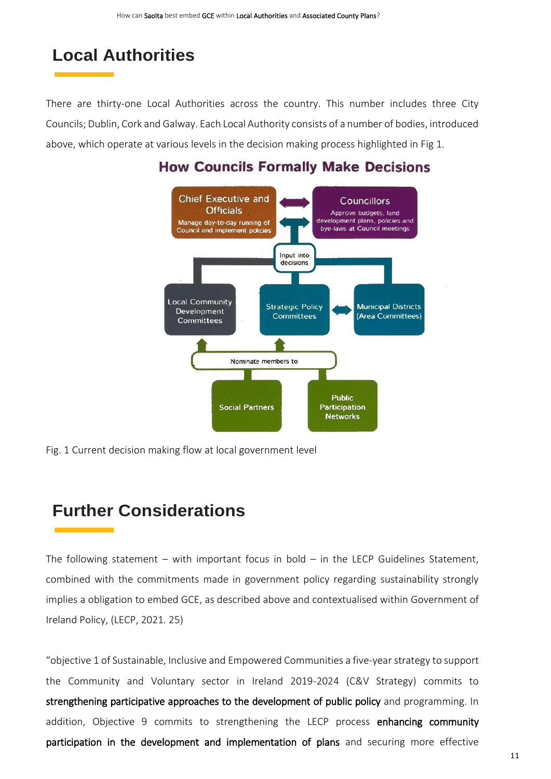## **Local Authorities**

There are thirty-one Local Authorities across the country. This number includes three City Councils; Dublin, Cork and Galway. Each Local Authority consists of a number of bodies, introduced above, which operate at various levels in the decision making process highlighted in Fig 1.

### **How Councils Formally Make Decisions**



Fig. 1 Current decision making flow at local government level

## **Further Considerations**

The following statement – with important focus in bold – in the LECP Guidelines Statement, combined with the commitments made in government policy regarding sustainability strongly implies a obligation to embed GCE, as described above and contextualised within Government of Ireland Policy, (LECP, 2021. 25)

"objective 1 of Sustainable, Inclusive and Empowered Communities a five-year strategy to support the Community and Voluntary sector in Ireland 2019-2024 (C&V Strategy) commits to strengthening participative approaches to the development of public policy and programming. In addition, Objective 9 commits to strengthening the LECP process enhancing community participation in the development and implementation of plans and securing more effective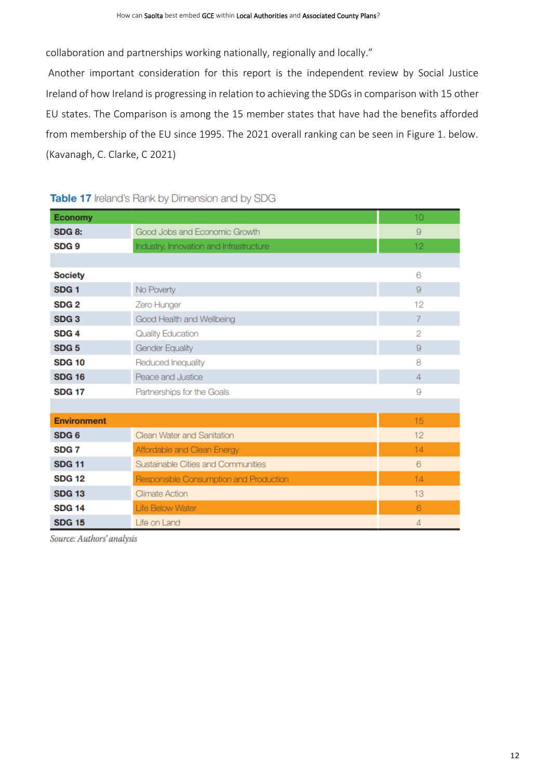collaboration and partnerships working nationally, regionally and locally."

Another important consideration for this report is the independent review by Social Justice Ireland of how Ireland is progressing in relation to achieving the SDGs in comparison with 15 other EU states. The Comparison is among the 15 member states that have had the benefits afforded from membership of the EU since 1995. The 2021 overall ranking can be seen in Figure 1. below. (Kavanagh, C. Clarke, C 2021)

| <b>Economy</b>     |                                         | 10              |
|--------------------|-----------------------------------------|-----------------|
| <b>SDG 8:</b>      | Good Jobs and Economic Growth           | 9               |
| SDG <sub>9</sub>   | Industry, Innovation and Infrastructure | 12 <sub>2</sub> |
|                    |                                         |                 |
| <b>Society</b>     |                                         | 6               |
| SDG <sub>1</sub>   | No Poverty                              | 9               |
| SDG <sub>2</sub>   | Zero Hunger                             | 12              |
| SDG <sub>3</sub>   | Good Health and Wellbeing               | 7               |
| SDG <sub>4</sub>   | <b>Quality Education</b>                | $\overline{2}$  |
| SDG <sub>5</sub>   | <b>Gender Equality</b>                  | 9               |
| <b>SDG 10</b>      | Reduced Inequality                      | 8               |
| <b>SDG 16</b>      | Peace and Justice                       | $\overline{4}$  |
| <b>SDG 17</b>      | Partnerships for the Goals              | 9               |
|                    |                                         |                 |
| <b>Environment</b> |                                         | 15              |
| SDG <sub>6</sub>   | Clean Water and Sanitation              | 12              |
| SDG <sub>7</sub>   | Affordable and Clean Energy             | 14              |
| <b>SDG 11</b>      | Sustainable Cities and Communities      | 6               |
| <b>SDG 12</b>      | Responsible Consumption and Production  | 14              |
| <b>SDG 13</b>      | <b>Climate Action</b>                   | 13              |
| <b>SDG 14</b>      | Life Below Water                        | 6               |
| <b>SDG 15</b>      | Life on Land                            | 4               |

#### Table 17 Ireland's Rank by Dimension and by SDG

Source: Authors' analysis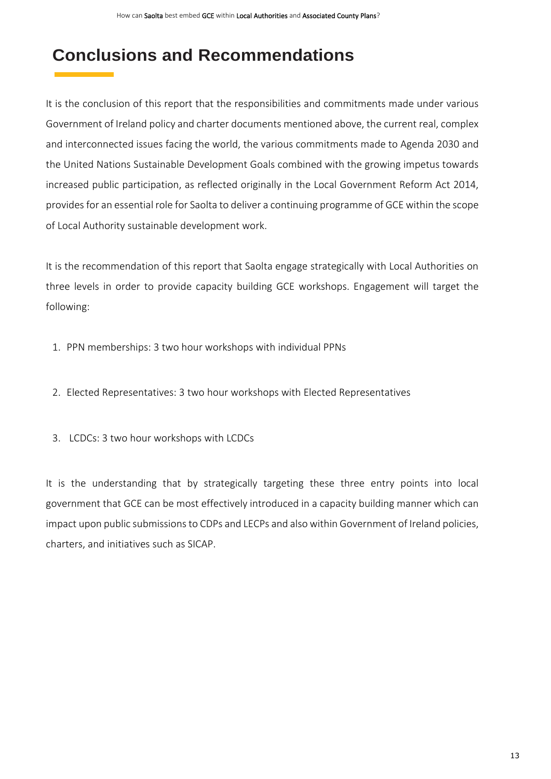## **Conclusions and Recommendations**

It is the conclusion of this report that the responsibilities and commitments made under various Government of Ireland policy and charter documents mentioned above, the current real, complex and interconnected issues facing the world, the various commitments made to Agenda 2030 and the United Nations Sustainable Development Goals combined with the growing impetus towards increased public participation, as reflected originally in the Local Government Reform Act 2014, provides for an essential role for Saolta to deliver a continuing programme of GCE within the scope of Local Authority sustainable development work.

It is the recommendation of this report that Saolta engage strategically with Local Authorities on three levels in order to provide capacity building GCE workshops. Engagement will target the following:

- 1. PPN memberships: 3 two hour workshops with individual PPNs
- 2. Elected Representatives: 3 two hour workshops with Elected Representatives
- 3. LCDCs: 3 two hour workshops with LCDCs

It is the understanding that by strategically targeting these three entry points into local government that GCE can be most effectively introduced in a capacity building manner which can impact upon public submissions to CDPs and LECPs and also within Government of Ireland policies, charters, and initiatives such as SICAP.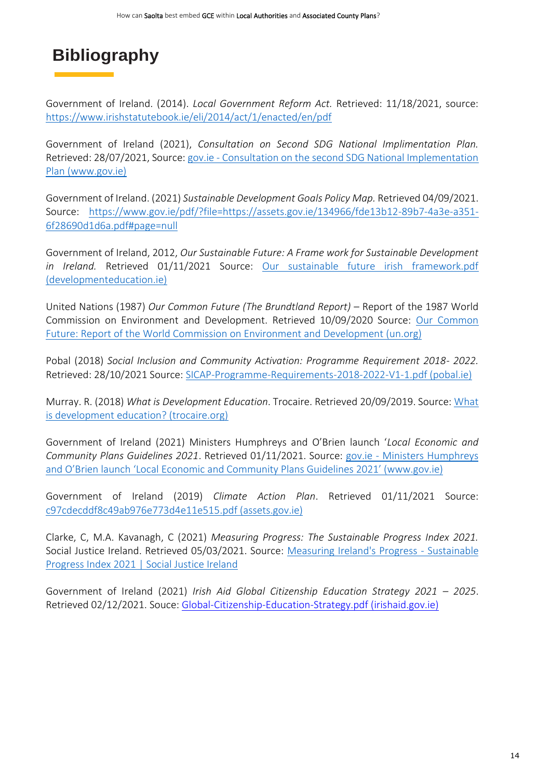# **Bibliography**

Government of Ireland. (2014). *Local Government Reform Act.* Retrieved: 11/18/2021, source: <https://www.irishstatutebook.ie/eli/2014/act/1/enacted/en/pdf>

Government of Ireland (2021), *Consultation on Second SDG National Implimentation Plan.*  Retrieved: 28/07/2021, Source: gov.ie - [Consultation on the second SDG National Implementation](https://www.gov.ie/en/consultation/5998d-sdg-national-implementation-plan-consultation-2021/)  [Plan \(www.gov.ie\)](https://www.gov.ie/en/consultation/5998d-sdg-national-implementation-plan-consultation-2021/)

Government of Ireland. (2021) *Sustainable Development Goals Policy Map.* Retrieved 04/09/2021. Source: [https://www.gov.ie/pdf/?file=https://assets.gov.ie/134966/fde13b12-89b7-4a3e-a351-](https://www.gov.ie/pdf/?file=https://assets.gov.ie/134966/fde13b12-89b7-4a3e-a351-6f28690d1d6a.pdf#page=null) [6f28690d1d6a.pdf#page=null](https://www.gov.ie/pdf/?file=https://assets.gov.ie/134966/fde13b12-89b7-4a3e-a351-6f28690d1d6a.pdf#page=null)

Government of Ireland, 2012, *Our Sustainable Future: A Frame work for Sustainable Development in Ireland.* Retrieved 01/11/2021 Source: [Our sustainable future irish framework.pdf](https://developmenteducation.ie/media/documents/Our%20sustainable%20future%20irish%20framework.pdf)  [\(developmenteducation.ie\)](https://developmenteducation.ie/media/documents/Our%20sustainable%20future%20irish%20framework.pdf)

United Nations (1987) *Our Common Future (The Brundtland Report)* – Report of the 1987 World Commission on Environment and Development. Retrieved 10/09/2020 Source: [Our Common](https://sustainabledevelopment.un.org/content/documents/5987our-common-future.pdf)  [Future: Report of the World Commission on Environment and Development \(un.org\)](https://sustainabledevelopment.un.org/content/documents/5987our-common-future.pdf)

Pobal (2018) *Social Inclusion and Community Activation: Programme Requirement 2018- 2022.* Retrieved: 28/10/2021 Source: [SICAP-Programme-Requirements-2018-2022-V1-1.pdf \(pobal.ie\)](https://pobal.ie/app/uploads/2018/05/SICAP-Programme-Requirements-2018-2022-V1-1.pdf)

Murray. R. (2018) *What is Development Education*. Trocaire. Retrieved 20/09/2019. Source: [What](https://www.trocaire.org/sites/default/files/resources/edu/what-is-development-education.pdf)  [is development education? \(trocaire.org\)](https://www.trocaire.org/sites/default/files/resources/edu/what-is-development-education.pdf)

Government of Ireland (2021) Ministers Humphreys and O'Brien launch '*Local Economic and Community Plans Guidelines 2021*. Retrieved 01/11/2021. Source: gov.ie - [Ministers Humphreys](https://www.gov.ie/en/press-release/59c83-ministers-humphreys-and-obrien-launch-local-economic-and-community-plans-guidelines-2021/)  [and O'Brien launch 'Local Economic and Community Plans Guidelines 2021' \(www.gov.ie\)](https://www.gov.ie/en/press-release/59c83-ministers-humphreys-and-obrien-launch-local-economic-and-community-plans-guidelines-2021/)

Government of Ireland (2019) *Climate Action Plan*. Retrieved 01/11/2021 Source: [c97cdecddf8c49ab976e773d4e11e515.pdf \(assets.gov.ie\)](https://assets.gov.ie/25419/c97cdecddf8c49ab976e773d4e11e515.pdf)

Clarke, C, M.A. Kavanagh, C (2021) *Measuring Progress: The Sustainable Progress Index 2021.*  Social Justice Ireland. Retrieved 05/03/2021. Source: [Measuring Ireland's Progress -](https://www.socialjustice.ie/content/publications/measuring-irelands-progress-sustainable-progress-index-2021) Sustainable [Progress Index 2021 | Social Justice Ireland](https://www.socialjustice.ie/content/publications/measuring-irelands-progress-sustainable-progress-index-2021)

Government of Ireland (2021) Irish Aid Global Citizenship Education Strategy 2021 - 2025. Retrieved 02/12/2021. Souce: [Global-Citizenship-Education-Strategy.pdf \(irishaid.gov.ie\)](http://irishaid.gov.ie/media/irishaid/publications/Global-Citizenship-Education-Strategy.pdf)